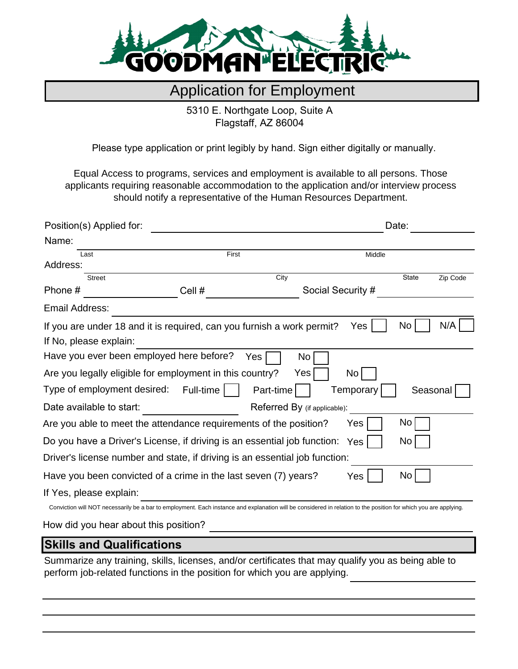

## Application for Employment

5310 E. Northgate Loop, Suite A Flagstaff, AZ 86004

Please type application or print legibly by hand. Sign either digitally or manually.

Equal Access to programs, services and employment is available to all persons. Those applicants requiring reasonable accommodation to the application and/or interview process should notify a representative of the Human Resources Department.

| Position(s) Applied for: |                                                                                                                                                                  | Date:     |                              |                   |          |          |
|--------------------------|------------------------------------------------------------------------------------------------------------------------------------------------------------------|-----------|------------------------------|-------------------|----------|----------|
| Name:                    |                                                                                                                                                                  |           |                              |                   |          |          |
| First<br>Last            |                                                                                                                                                                  |           | Middle                       |                   |          |          |
| Address:                 |                                                                                                                                                                  |           |                              |                   |          |          |
| <b>Street</b><br>Phone # | Cell #                                                                                                                                                           | City      |                              | Social Security # | State    | Zip Code |
| Email Address:           |                                                                                                                                                                  |           |                              |                   |          |          |
|                          | If you are under 18 and it is required, can you furnish a work permit?                                                                                           |           |                              | Yes               | No       | N/A      |
| If No, please explain:   |                                                                                                                                                                  |           |                              |                   |          |          |
|                          | Have you ever been employed here before?                                                                                                                         | Yes       | No                           |                   |          |          |
|                          | Are you legally eligible for employment in this country?                                                                                                         |           | Yes                          | No                |          |          |
|                          | Type of employment desired: Full-time                                                                                                                            | Part-time |                              | Temporary         | Seasonal |          |
| Date available to start: |                                                                                                                                                                  |           | Referred By (if applicable): |                   |          |          |
|                          | Are you able to meet the attendance requirements of the position?                                                                                                |           |                              | Yes               | No.      |          |
|                          | Do you have a Driver's License, if driving is an essential job function: Yes                                                                                     |           |                              |                   | No       |          |
|                          | Driver's license number and state, if driving is an essential job function:                                                                                      |           |                              |                   |          |          |
|                          | Have you been convicted of a crime in the last seven (7) years?                                                                                                  |           |                              | Yes               | No       |          |
| If Yes, please explain:  |                                                                                                                                                                  |           |                              |                   |          |          |
|                          | Conviction will NOT necessarily be a bar to employment. Each instance and explanation will be considered in relation to the position for which you are applying. |           |                              |                   |          |          |

How did you hear about this position?

### **Skills and Qualifications**

Summarize any training, skills, licenses, and/or certificates that may qualify you as being able to perform job-related functions in the position for which you are applying.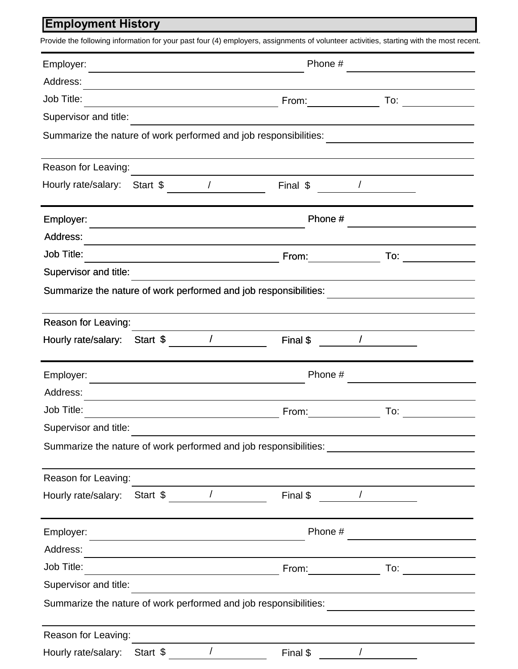# **Employment History**

| Employer:                                                                                                                          | Phone #                                                                                                                          |                                                                                                                                                                                                                                                                                                                                                                                                                                   |  |  |  |
|------------------------------------------------------------------------------------------------------------------------------------|----------------------------------------------------------------------------------------------------------------------------------|-----------------------------------------------------------------------------------------------------------------------------------------------------------------------------------------------------------------------------------------------------------------------------------------------------------------------------------------------------------------------------------------------------------------------------------|--|--|--|
| Address:                                                                                                                           |                                                                                                                                  |                                                                                                                                                                                                                                                                                                                                                                                                                                   |  |  |  |
| Job Title:<br><u> Alexandria de la contexta de la contexta de la contexta de la contexta de la contexta de la contexta de la c</u> | From: $\qquad \qquad \qquad$                                                                                                     | $\frac{1}{\sqrt{1-\frac{1}{2}}\cdot\frac{1}{\sqrt{1-\frac{1}{2}}\cdot\frac{1}{\sqrt{1-\frac{1}{2}}\cdot\frac{1}{\sqrt{1-\frac{1}{2}}\cdot\frac{1}{\sqrt{1-\frac{1}{2}}\cdot\frac{1}{\sqrt{1-\frac{1}{2}}\cdot\frac{1}{\sqrt{1-\frac{1}{2}}\cdot\frac{1}{\sqrt{1-\frac{1}{2}}\cdot\frac{1}{\sqrt{1-\frac{1}{2}}\cdot\frac{1}{\sqrt{1-\frac{1}{2}}\cdot\frac{1}{\sqrt{1-\frac{1}{2}}\cdot\frac{1}{\sqrt{1-\frac{1}{2}}\cdot\frac{1$ |  |  |  |
| Supervisor and title:                                                                                                              |                                                                                                                                  |                                                                                                                                                                                                                                                                                                                                                                                                                                   |  |  |  |
| Summarize the nature of work performed and job responsibilities:                                                                   |                                                                                                                                  | <u> 1989 - Andrea Andrew Maria (b. 19</u>                                                                                                                                                                                                                                                                                                                                                                                         |  |  |  |
| Reason for Leaving:                                                                                                                |                                                                                                                                  |                                                                                                                                                                                                                                                                                                                                                                                                                                   |  |  |  |
| $\overline{\phantom{a}}$<br>Hourly rate/salary: Start \$                                                                           | Final \$                                                                                                                         |                                                                                                                                                                                                                                                                                                                                                                                                                                   |  |  |  |
| Employer:                                                                                                                          | Phone #<br><u> 1989 - Johann Barn, mars ann an t-Amhain an t-Amhain an t-Amhain an t-Amhain an t-Amhain an t-Amhain an t-Amh</u> |                                                                                                                                                                                                                                                                                                                                                                                                                                   |  |  |  |
| Address:                                                                                                                           |                                                                                                                                  |                                                                                                                                                                                                                                                                                                                                                                                                                                   |  |  |  |
| <b>Job Title:</b>                                                                                                                  | From:                                                                                                                            | To:                                                                                                                                                                                                                                                                                                                                                                                                                               |  |  |  |
| Supervisor and title:                                                                                                              |                                                                                                                                  |                                                                                                                                                                                                                                                                                                                                                                                                                                   |  |  |  |
| Summarize the nature of work performed and job responsibilities:                                                                   |                                                                                                                                  |                                                                                                                                                                                                                                                                                                                                                                                                                                   |  |  |  |
| Reason for Leaving:                                                                                                                |                                                                                                                                  |                                                                                                                                                                                                                                                                                                                                                                                                                                   |  |  |  |
| Start \$ /<br>Hourly rate/salary:                                                                                                  | Final \$                                                                                                                         |                                                                                                                                                                                                                                                                                                                                                                                                                                   |  |  |  |
| Employer:                                                                                                                          | Phone #                                                                                                                          |                                                                                                                                                                                                                                                                                                                                                                                                                                   |  |  |  |
| Address:                                                                                                                           |                                                                                                                                  |                                                                                                                                                                                                                                                                                                                                                                                                                                   |  |  |  |
| Job Title:                                                                                                                         | From:                                                                                                                            | To:                                                                                                                                                                                                                                                                                                                                                                                                                               |  |  |  |
| Supervisor and title:                                                                                                              |                                                                                                                                  |                                                                                                                                                                                                                                                                                                                                                                                                                                   |  |  |  |
| Summarize the nature of work performed and job responsibilities: ________________                                                  |                                                                                                                                  |                                                                                                                                                                                                                                                                                                                                                                                                                                   |  |  |  |
| Reason for Leaving:                                                                                                                |                                                                                                                                  |                                                                                                                                                                                                                                                                                                                                                                                                                                   |  |  |  |
| Start $\frac{1}{2}$<br>Hourly rate/salary:                                                                                         |                                                                                                                                  | Final \$ /                                                                                                                                                                                                                                                                                                                                                                                                                        |  |  |  |
| Employer:                                                                                                                          | Phone #<br><u> 1989 - Johann Barbara, martxa a</u>                                                                               |                                                                                                                                                                                                                                                                                                                                                                                                                                   |  |  |  |
| Address:                                                                                                                           |                                                                                                                                  |                                                                                                                                                                                                                                                                                                                                                                                                                                   |  |  |  |
| Job Title:                                                                                                                         |                                                                                                                                  |                                                                                                                                                                                                                                                                                                                                                                                                                                   |  |  |  |
| Supervisor and title:                                                                                                              |                                                                                                                                  |                                                                                                                                                                                                                                                                                                                                                                                                                                   |  |  |  |
| Summarize the nature of work performed and job responsibilities:                                                                   |                                                                                                                                  |                                                                                                                                                                                                                                                                                                                                                                                                                                   |  |  |  |
| Reason for Leaving:                                                                                                                |                                                                                                                                  |                                                                                                                                                                                                                                                                                                                                                                                                                                   |  |  |  |
| Hourly rate/salary: Start \$                                                                                                       | $\sqrt{2}$<br>Final \$                                                                                                           | $\sqrt{2}$                                                                                                                                                                                                                                                                                                                                                                                                                        |  |  |  |